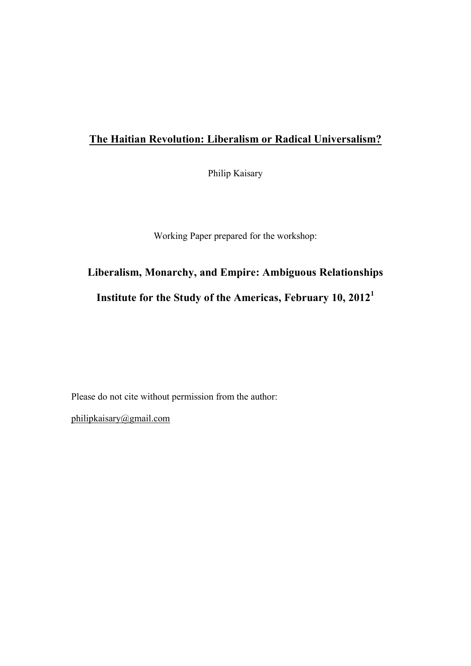## **The Haitian Revolution: Liberalism or Radical Universalism?**

Philip Kaisary

Working Paper prepared for the workshop:

## **Liberalism, Monarchy, and Empire: Ambiguous Relationships Institute for the Study of the Americas, February 10, 2012<sup>1</sup>**

Please do not cite without permission from the author:

philipkaisary@gmail.com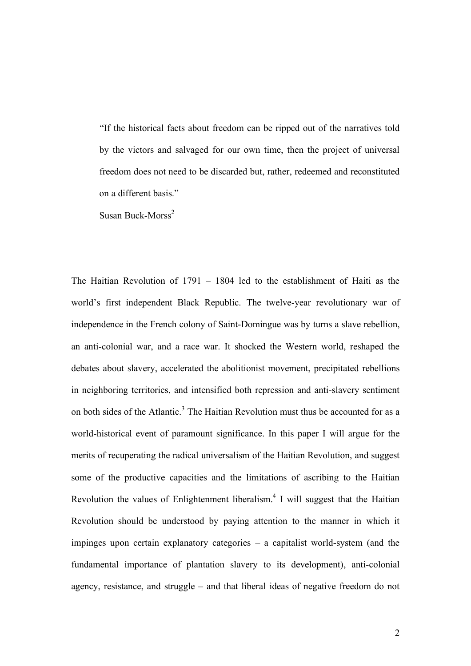"If the historical facts about freedom can be ripped out of the narratives told by the victors and salvaged for our own time, then the project of universal freedom does not need to be discarded but, rather, redeemed and reconstituted on a different basis."

Susan Buck-Morss<sup>2</sup>

The Haitian Revolution of 1791 – 1804 led to the establishment of Haiti as the world's first independent Black Republic. The twelve-year revolutionary war of independence in the French colony of Saint-Domingue was by turns a slave rebellion, an anti-colonial war, and a race war. It shocked the Western world, reshaped the debates about slavery, accelerated the abolitionist movement, precipitated rebellions in neighboring territories, and intensified both repression and anti-slavery sentiment on both sides of the Atlantic.<sup>3</sup> The Haitian Revolution must thus be accounted for as a world-historical event of paramount significance. In this paper I will argue for the merits of recuperating the radical universalism of the Haitian Revolution, and suggest some of the productive capacities and the limitations of ascribing to the Haitian Revolution the values of Enlightenment liberalism.<sup>4</sup> I will suggest that the Haitian Revolution should be understood by paying attention to the manner in which it impinges upon certain explanatory categories – a capitalist world-system (and the fundamental importance of plantation slavery to its development), anti-colonial agency, resistance, and struggle – and that liberal ideas of negative freedom do not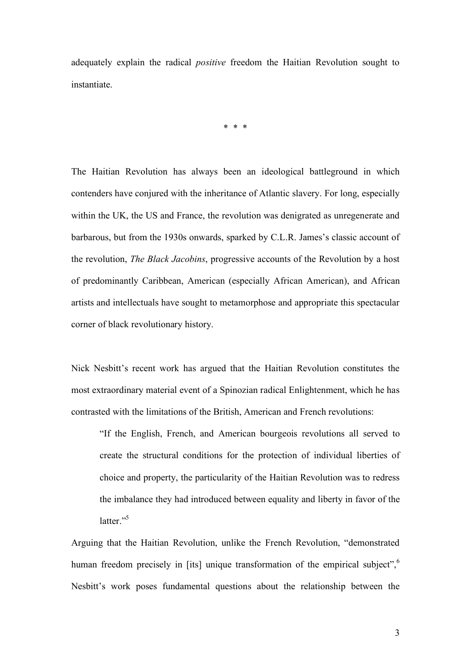adequately explain the radical *positive* freedom the Haitian Revolution sought to instantiate.

\* \* \*

The Haitian Revolution has always been an ideological battleground in which contenders have conjured with the inheritance of Atlantic slavery. For long, especially within the UK, the US and France, the revolution was denigrated as unregenerate and barbarous, but from the 1930s onwards, sparked by C.L.R. James's classic account of the revolution, *The Black Jacobins*, progressive accounts of the Revolution by a host of predominantly Caribbean, American (especially African American), and African artists and intellectuals have sought to metamorphose and appropriate this spectacular corner of black revolutionary history.

Nick Nesbitt's recent work has argued that the Haitian Revolution constitutes the most extraordinary material event of a Spinozian radical Enlightenment, which he has contrasted with the limitations of the British, American and French revolutions:

"If the English, French, and American bourgeois revolutions all served to create the structural conditions for the protection of individual liberties of choice and property, the particularity of the Haitian Revolution was to redress the imbalance they had introduced between equality and liberty in favor of the latter $"$ <sup>55</sup>

Arguing that the Haitian Revolution, unlike the French Revolution, "demonstrated human freedom precisely in [its] unique transformation of the empirical subject",<sup>6</sup> Nesbitt's work poses fundamental questions about the relationship between the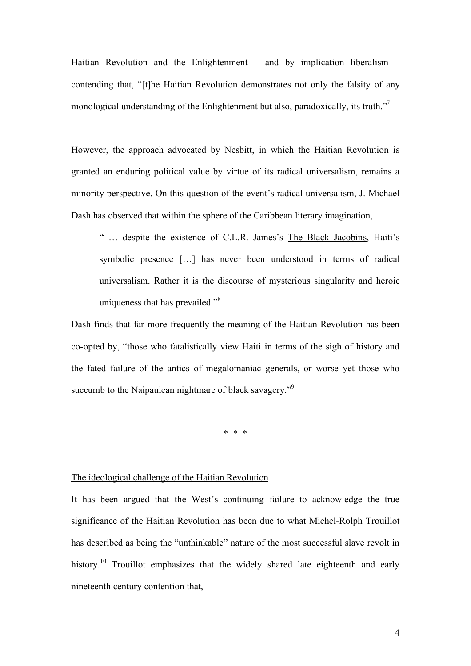Haitian Revolution and the Enlightenment – and by implication liberalism – contending that, "[t]he Haitian Revolution demonstrates not only the falsity of any monological understanding of the Enlightenment but also, paradoxically, its truth.<sup>77</sup>

However, the approach advocated by Nesbitt, in which the Haitian Revolution is granted an enduring political value by virtue of its radical universalism, remains a minority perspective. On this question of the event's radical universalism, J. Michael Dash has observed that within the sphere of the Caribbean literary imagination,

" … despite the existence of C.L.R. James's The Black Jacobins, Haiti's symbolic presence […] has never been understood in terms of radical universalism. Rather it is the discourse of mysterious singularity and heroic uniqueness that has prevailed."<sup>8</sup>

Dash finds that far more frequently the meaning of the Haitian Revolution has been co-opted by, "those who fatalistically view Haiti in terms of the sigh of history and the fated failure of the antics of megalomaniac generals, or worse yet those who succumb to the Naipaulean nightmare of black savagery."<sup>9</sup>

\* \* \*

## The ideological challenge of the Haitian Revolution

It has been argued that the West's continuing failure to acknowledge the true significance of the Haitian Revolution has been due to what Michel-Rolph Trouillot has described as being the "unthinkable" nature of the most successful slave revolt in history.<sup>10</sup> Trouillot emphasizes that the widely shared late eighteenth and early nineteenth century contention that,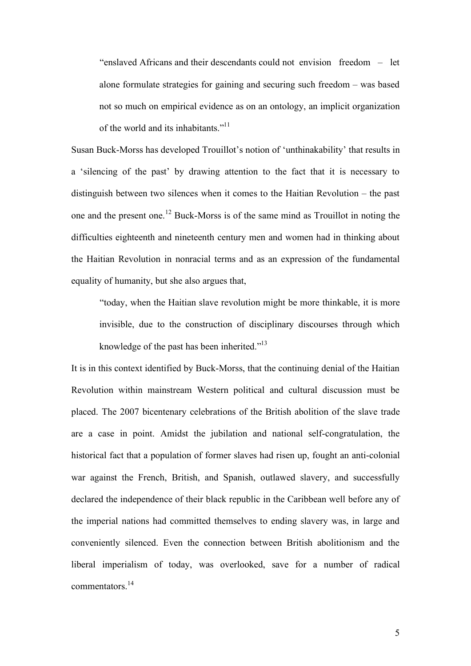"enslaved Africans and their descendants could not envision freedom – let alone formulate strategies for gaining and securing such freedom – was based not so much on empirical evidence as on an ontology, an implicit organization of the world and its inhabitants."<sup>11</sup>

Susan Buck-Morss has developed Trouillot's notion of 'unthinakability' that results in a 'silencing of the past' by drawing attention to the fact that it is necessary to distinguish between two silences when it comes to the Haitian Revolution – the past one and the present one.12 Buck-Morss is of the same mind as Trouillot in noting the difficulties eighteenth and nineteenth century men and women had in thinking about the Haitian Revolution in nonracial terms and as an expression of the fundamental equality of humanity, but she also argues that,

"today, when the Haitian slave revolution might be more thinkable, it is more invisible, due to the construction of disciplinary discourses through which knowledge of the past has been inherited."<sup>13</sup>

It is in this context identified by Buck-Morss, that the continuing denial of the Haitian Revolution within mainstream Western political and cultural discussion must be placed. The 2007 bicentenary celebrations of the British abolition of the slave trade are a case in point. Amidst the jubilation and national self-congratulation, the historical fact that a population of former slaves had risen up, fought an anti-colonial war against the French, British, and Spanish, outlawed slavery, and successfully declared the independence of their black republic in the Caribbean well before any of the imperial nations had committed themselves to ending slavery was, in large and conveniently silenced. Even the connection between British abolitionism and the liberal imperialism of today, was overlooked, save for a number of radical commentators.<sup>14</sup>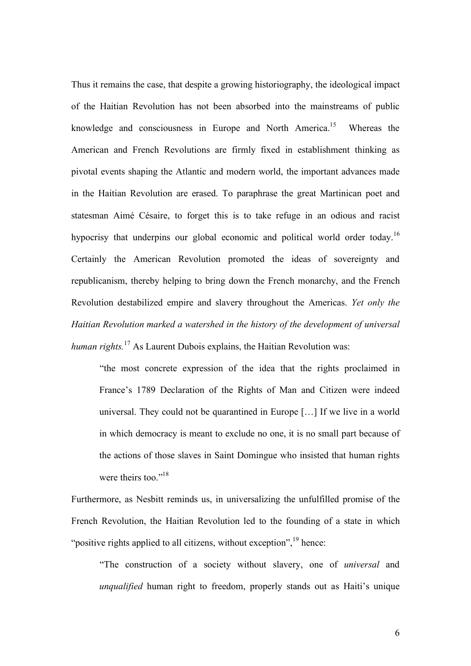Thus it remains the case, that despite a growing historiography, the ideological impact of the Haitian Revolution has not been absorbed into the mainstreams of public knowledge and consciousness in Europe and North America.15 Whereas the American and French Revolutions are firmly fixed in establishment thinking as pivotal events shaping the Atlantic and modern world, the important advances made in the Haitian Revolution are erased. To paraphrase the great Martinican poet and statesman Aimé Césaire, to forget this is to take refuge in an odious and racist hypocrisy that underpins our global economic and political world order today.<sup>16</sup> Certainly the American Revolution promoted the ideas of sovereignty and republicanism, thereby helping to bring down the French monarchy, and the French Revolution destabilized empire and slavery throughout the Americas. *Yet only the Haitian Revolution marked a watershed in the history of the development of universal human rights.*17 As Laurent Dubois explains, the Haitian Revolution was:

"the most concrete expression of the idea that the rights proclaimed in France's 1789 Declaration of the Rights of Man and Citizen were indeed universal. They could not be quarantined in Europe […] If we live in a world in which democracy is meant to exclude no one, it is no small part because of the actions of those slaves in Saint Domingue who insisted that human rights were theirs too."<sup>18</sup>

Furthermore, as Nesbitt reminds us, in universalizing the unfulfilled promise of the French Revolution, the Haitian Revolution led to the founding of a state in which "positive rights applied to all citizens, without exception", $\frac{19}{19}$  hence:

"The construction of a society without slavery, one of *universal* and *unqualified* human right to freedom, properly stands out as Haiti's unique

6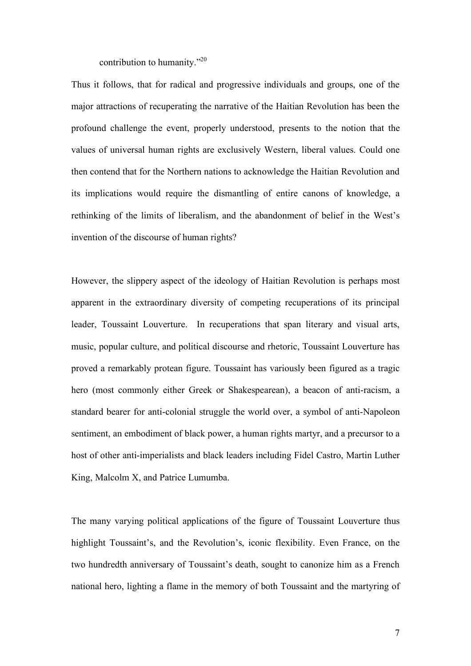contribution to humanity."20

Thus it follows, that for radical and progressive individuals and groups, one of the major attractions of recuperating the narrative of the Haitian Revolution has been the profound challenge the event, properly understood, presents to the notion that the values of universal human rights are exclusively Western, liberal values. Could one then contend that for the Northern nations to acknowledge the Haitian Revolution and its implications would require the dismantling of entire canons of knowledge, a rethinking of the limits of liberalism, and the abandonment of belief in the West's invention of the discourse of human rights?

However, the slippery aspect of the ideology of Haitian Revolution is perhaps most apparent in the extraordinary diversity of competing recuperations of its principal leader, Toussaint Louverture. In recuperations that span literary and visual arts, music, popular culture, and political discourse and rhetoric, Toussaint Louverture has proved a remarkably protean figure. Toussaint has variously been figured as a tragic hero (most commonly either Greek or Shakespearean), a beacon of anti-racism, a standard bearer for anti-colonial struggle the world over, a symbol of anti-Napoleon sentiment, an embodiment of black power, a human rights martyr, and a precursor to a host of other anti-imperialists and black leaders including Fidel Castro, Martin Luther King, Malcolm X, and Patrice Lumumba.

The many varying political applications of the figure of Toussaint Louverture thus highlight Toussaint's, and the Revolution's, iconic flexibility. Even France, on the two hundredth anniversary of Toussaint's death, sought to canonize him as a French national hero, lighting a flame in the memory of both Toussaint and the martyring of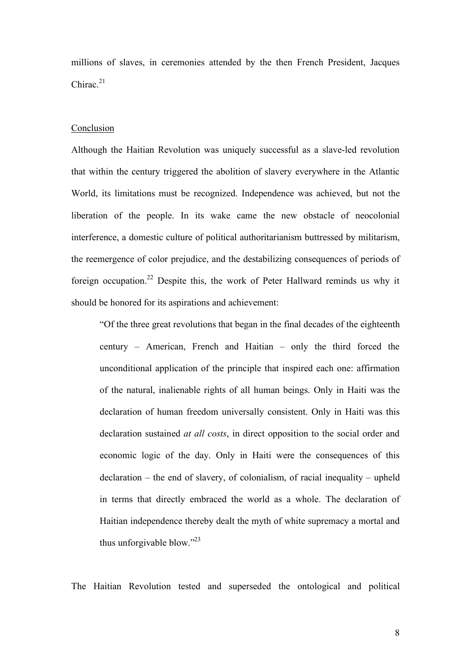millions of slaves, in ceremonies attended by the then French President, Jacques Chirac $21$ 

## Conclusion

Although the Haitian Revolution was uniquely successful as a slave-led revolution that within the century triggered the abolition of slavery everywhere in the Atlantic World, its limitations must be recognized. Independence was achieved, but not the liberation of the people. In its wake came the new obstacle of neocolonial interference, a domestic culture of political authoritarianism buttressed by militarism, the reemergence of color prejudice, and the destabilizing consequences of periods of foreign occupation.<sup>22</sup> Despite this, the work of Peter Hallward reminds us why it should be honored for its aspirations and achievement:

"Of the three great revolutions that began in the final decades of the eighteenth century – American, French and Haitian – only the third forced the unconditional application of the principle that inspired each one: affirmation of the natural, inalienable rights of all human beings. Only in Haiti was the declaration of human freedom universally consistent. Only in Haiti was this declaration sustained *at all costs*, in direct opposition to the social order and economic logic of the day. Only in Haiti were the consequences of this declaration – the end of slavery, of colonialism, of racial inequality – upheld in terms that directly embraced the world as a whole. The declaration of Haitian independence thereby dealt the myth of white supremacy a mortal and thus unforgivable blow."<sup>23</sup>

The Haitian Revolution tested and superseded the ontological and political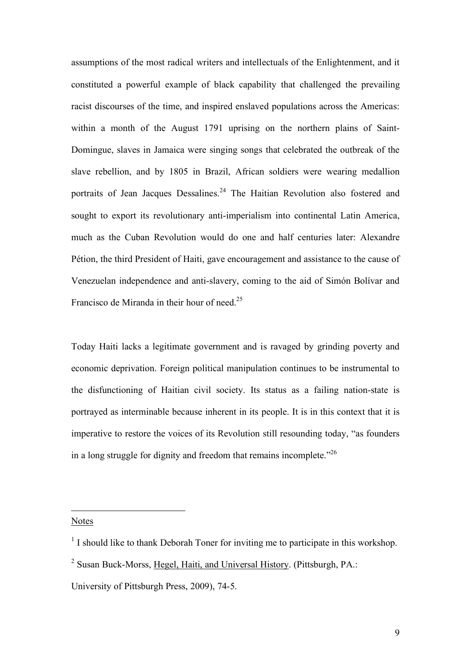assumptions of the most radical writers and intellectuals of the Enlightenment, and it constituted a powerful example of black capability that challenged the prevailing racist discourses of the time, and inspired enslaved populations across the Americas: within a month of the August 1791 uprising on the northern plains of Saint-Domingue, slaves in Jamaica were singing songs that celebrated the outbreak of the slave rebellion, and by 1805 in Brazil, African soldiers were wearing medallion portraits of Jean Jacques Dessalines.<sup>24</sup> The Haitian Revolution also fostered and sought to export its revolutionary anti-imperialism into continental Latin America, much as the Cuban Revolution would do one and half centuries later: Alexandre Pétion, the third President of Haiti, gave encouragement and assistance to the cause of Venezuelan independence and anti-slavery, coming to the aid of Simón Bolívar and Francisco de Miranda in their hour of need.25

Today Haiti lacks a legitimate government and is ravaged by grinding poverty and economic deprivation. Foreign political manipulation continues to be instrumental to the disfunctioning of Haitian civil society. Its status as a failing nation-state is portrayed as interminable because inherent in its people. It is in this context that it is imperative to restore the voices of its Revolution still resounding today, "as founders in a long struggle for dignity and freedom that remains incomplete. $126$ 

Notes

 $\overline{a}$ 

 $<sup>1</sup>$  I should like to thank Deborah Toner for inviting me to participate in this workshop.</sup>

<sup>&</sup>lt;sup>2</sup> Susan Buck-Morss, Hegel, Haiti, and Universal History. (Pittsburgh, PA.:

University of Pittsburgh Press, 2009), 74-5.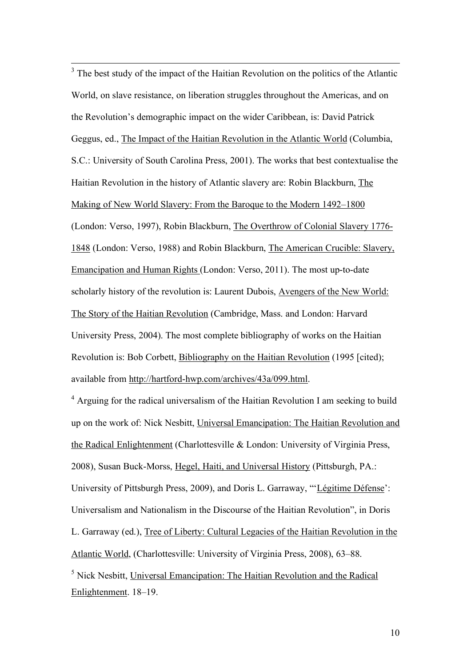<sup>3</sup> The best study of the impact of the Haitian Revolution on the politics of the Atlantic World, on slave resistance, on liberation struggles throughout the Americas, and on the Revolution's demographic impact on the wider Caribbean, is: David Patrick Geggus, ed., The Impact of the Haitian Revolution in the Atlantic World (Columbia, S.C.: University of South Carolina Press, 2001). The works that best contextualise the Haitian Revolution in the history of Atlantic slavery are: Robin Blackburn, The Making of New World Slavery: From the Baroque to the Modern 1492–1800 (London: Verso, 1997), Robin Blackburn, The Overthrow of Colonial Slavery 1776- 1848 (London: Verso, 1988) and Robin Blackburn, The American Crucible: Slavery, Emancipation and Human Rights (London: Verso, 2011). The most up-to-date scholarly history of the revolution is: Laurent Dubois, Avengers of the New World: The Story of the Haitian Revolution (Cambridge, Mass. and London: Harvard University Press, 2004). The most complete bibliography of works on the Haitian Revolution is: Bob Corbett, Bibliography on the Haitian Revolution (1995 [cited); available from http://hartford-hwp.com/archives/43a/099.html.

<sup>4</sup> Arguing for the radical universalism of the Haitian Revolution I am seeking to build up on the work of: Nick Nesbitt, Universal Emancipation: The Haitian Revolution and the Radical Enlightenment (Charlottesville & London: University of Virginia Press, 2008), Susan Buck-Morss, Hegel, Haiti, and Universal History (Pittsburgh, PA.: University of Pittsburgh Press, 2009), and Doris L. Garraway, "'Légitime Défense': Universalism and Nationalism in the Discourse of the Haitian Revolution", in Doris L. Garraway (ed.), Tree of Liberty: Cultural Legacies of the Haitian Revolution in the Atlantic World, (Charlottesville: University of Virginia Press, 2008), 63–88. <sup>5</sup> Nick Nesbitt, Universal Emancipation: The Haitian Revolution and the Radical

Enlightenment. 18–19.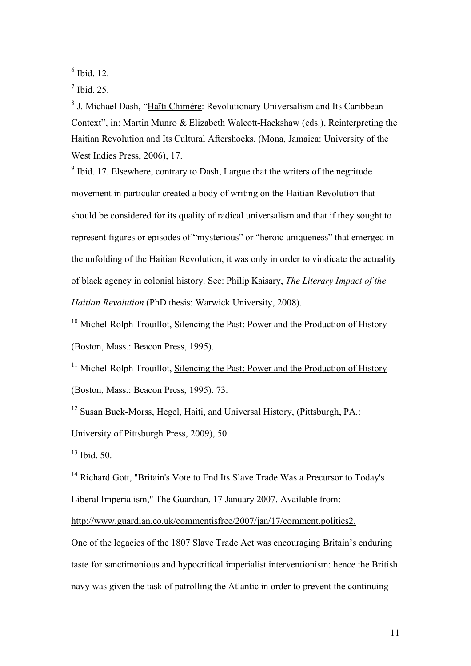$\frac{6}{6}$  Ibid. 12.

 $<sup>7</sup>$  Ibid. 25.</sup>

<sup>8</sup> J. Michael Dash, "Haïti Chimère: Revolutionary Universalism and Its Caribbean Context", in: Martin Munro & Elizabeth Walcott-Hackshaw (eds.), Reinterpreting the Haitian Revolution and Its Cultural Aftershocks, (Mona, Jamaica: University of the West Indies Press, 2006), 17.

 $9$  Ibid. 17. Elsewhere, contrary to Dash, I argue that the writers of the negritude movement in particular created a body of writing on the Haitian Revolution that should be considered for its quality of radical universalism and that if they sought to represent figures or episodes of "mysterious" or "heroic uniqueness" that emerged in the unfolding of the Haitian Revolution, it was only in order to vindicate the actuality of black agency in colonial history. See: Philip Kaisary, *The Literary Impact of the Haitian Revolution* (PhD thesis: Warwick University, 2008).

<sup>10</sup> Michel-Rolph Trouillot, Silencing the Past: Power and the Production of History (Boston, Mass.: Beacon Press, 1995).

<sup>11</sup> Michel-Rolph Trouillot, Silencing the Past: Power and the Production of History (Boston, Mass.: Beacon Press, 1995). 73.

<sup>12</sup> Susan Buck-Morss, Hegel, Haiti, and Universal History, (Pittsburgh, PA.: University of Pittsburgh Press, 2009), 50.

 $13$  Ibid. 50.

<sup>14</sup> Richard Gott, "Britain's Vote to End Its Slave Trade Was a Precursor to Today's Liberal Imperialism," The Guardian, 17 January 2007. Available from:

http://www.guardian.co.uk/commentisfree/2007/jan/17/comment.politics2.

One of the legacies of the 1807 Slave Trade Act was encouraging Britain's enduring taste for sanctimonious and hypocritical imperialist interventionism: hence the British navy was given the task of patrolling the Atlantic in order to prevent the continuing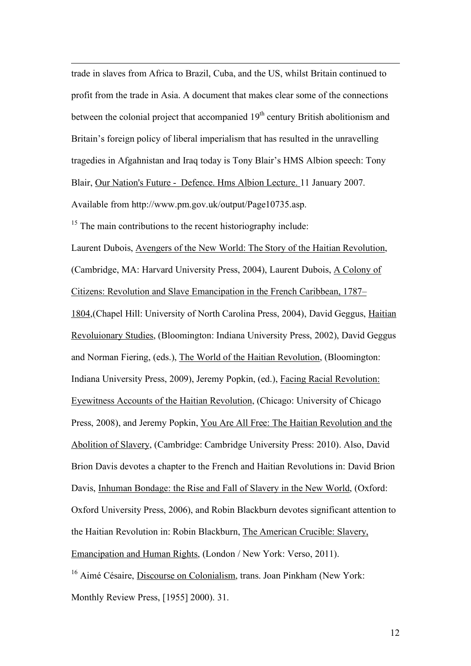trade in slaves from Africa to Brazil, Cuba, and the US, whilst Britain continued to profit from the trade in Asia. A document that makes clear some of the connections between the colonial project that accompanied  $19<sup>th</sup>$  century British abolitionism and Britain's foreign policy of liberal imperialism that has resulted in the unravelling tragedies in Afgahnistan and Iraq today is Tony Blair's HMS Albion speech: Tony Blair, Our Nation's Future - Defence. Hms Albion Lecture. 11 January 2007. Available from http://www.pm.gov.uk/output/Page10735.asp.

 $15$  The main contributions to the recent historiography include:

 $\overline{a}$ 

Laurent Dubois, Avengers of the New World: The Story of the Haitian Revolution, (Cambridge, MA: Harvard University Press, 2004), Laurent Dubois, A Colony of Citizens: Revolution and Slave Emancipation in the French Caribbean, 1787– 1804,(Chapel Hill: University of North Carolina Press, 2004), David Geggus, Haitian Revoluionary Studies, (Bloomington: Indiana University Press, 2002), David Geggus and Norman Fiering, (eds.), The World of the Haitian Revolution, (Bloomington: Indiana University Press, 2009), Jeremy Popkin, (ed.), Facing Racial Revolution: Eyewitness Accounts of the Haitian Revolution, (Chicago: University of Chicago Press, 2008), and Jeremy Popkin, You Are All Free: The Haitian Revolution and the Abolition of Slavery, (Cambridge: Cambridge University Press: 2010). Also, David Brion Davis devotes a chapter to the French and Haitian Revolutions in: David Brion Davis, Inhuman Bondage: the Rise and Fall of Slavery in the New World, (Oxford: Oxford University Press, 2006), and Robin Blackburn devotes significant attention to the Haitian Revolution in: Robin Blackburn, The American Crucible: Slavery, Emancipation and Human Rights, (London / New York: Verso, 2011). <sup>16</sup> Aimé Césaire, Discourse on Colonialism, trans. Joan Pinkham (New York:

Monthly Review Press, [1955] 2000). 31.